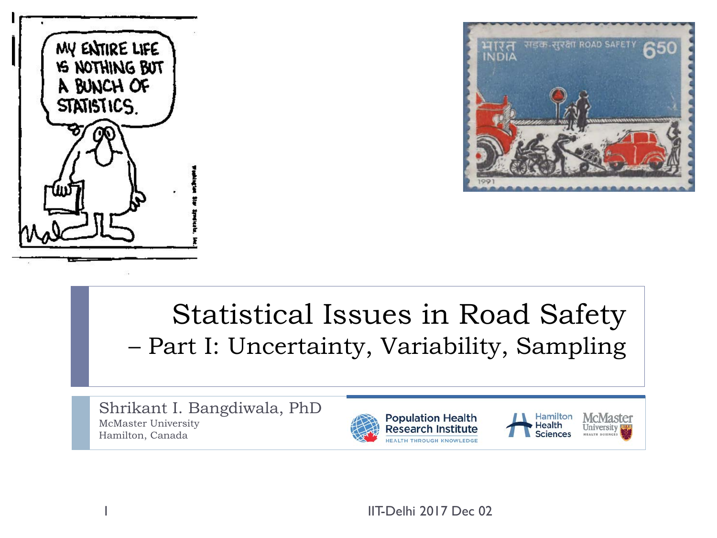



#### Statistical Issues in Road Safety – Part I: Uncertainty, Variability, Sampling

Shrikant I. Bangdiwala, PhD McMaster University Hamilton, Canada





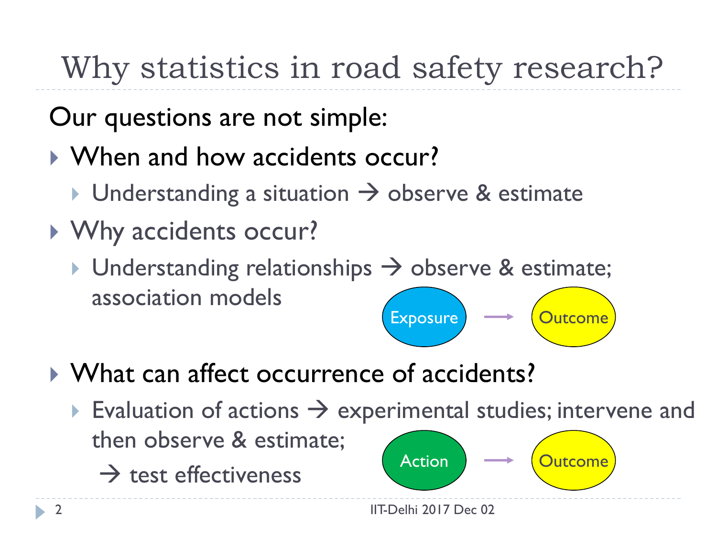# Why statistics in road safety research?

Our questions are not simple:

- When and how accidents occur?
	- $\triangleright$  Understanding a situation  $\rightarrow$  observe & estimate
- ▶ Why accidents occur?
	- $\triangleright$  Understanding relationships  $\rightarrow$  observe & estimate; association models Exposure <del>Outcome</del>
- What can affect occurrence of accidents?
	- Evaluation of actions  $\rightarrow$  experimental studies; intervene and then observe & estimate;
		- $\rightarrow$  test effectiveness

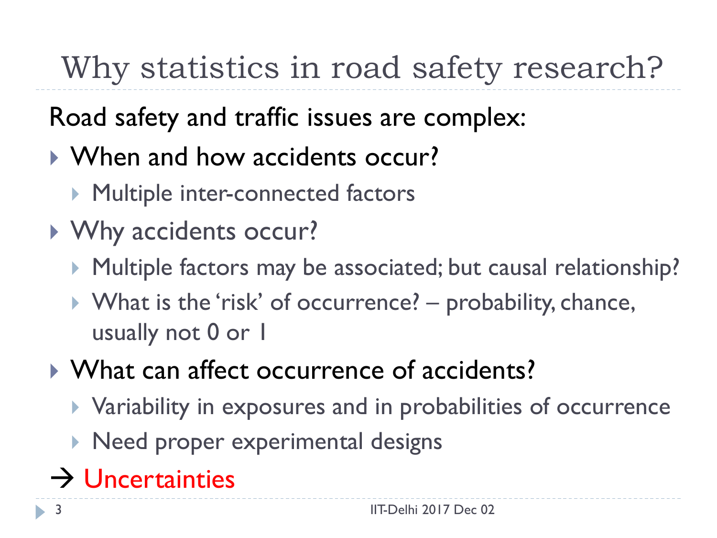# Why statistics in road safety research?

#### Road safety and traffic issues are complex:

- When and how accidents occur?
	- **Multiple inter-connected factors**
- ▶ Why accidents occur?
	- ▶ Multiple factors may be associated; but causal relationship?
	- ▶ What is the 'risk' of occurrence? probability, chance, usually not 0 or 1
- What can affect occurrence of accidents?
	- Variability in exposures and in probabilities of occurrence
	- **Need proper experimental designs**
- $\rightarrow$  Uncertainties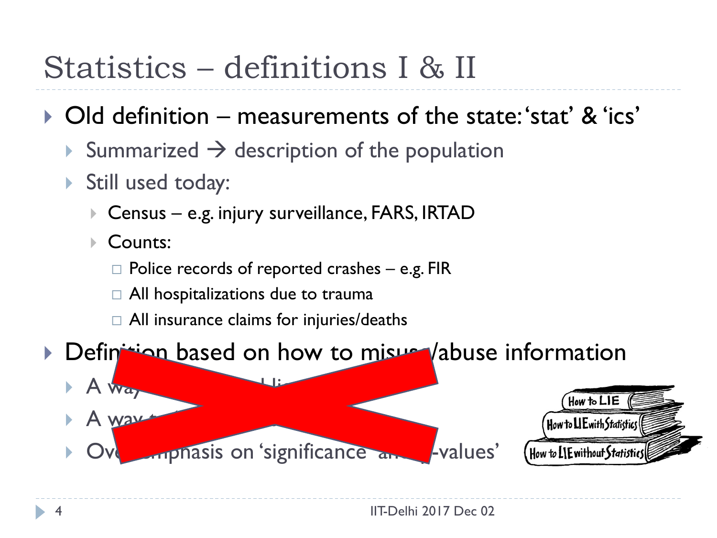## Statistics – definitions I & II

#### ▶ Old definition – measurements of the state: 'stat' & 'ics'

- Summarized  $\rightarrow$  description of the population
- Still used today:
	- ▶ Census e.g. injury surveillance, FARS, IRTAD
	- Counts:
		- $\Box$  Police records of reported crashes e.g. FIR
		- $\Box$  All hospitalizations due to trauma
		- $\Box$  All insurance claims for injuries/deaths



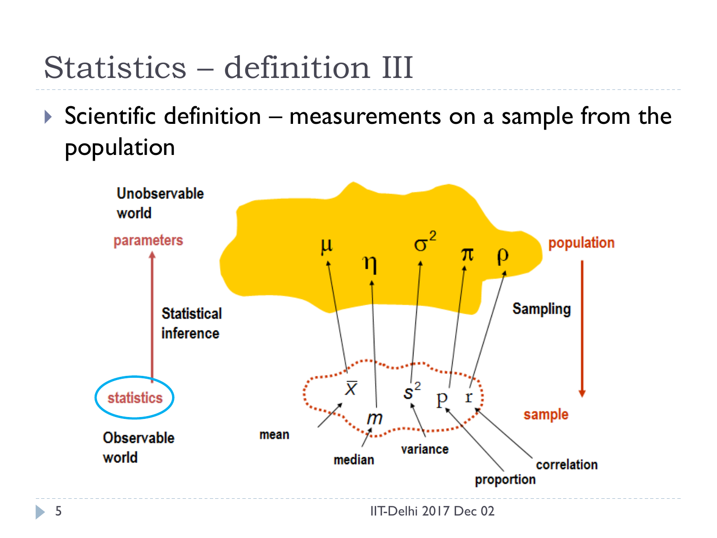## Statistics – definition III

 $\triangleright$  Scientific definition – measurements on a sample from the population



h.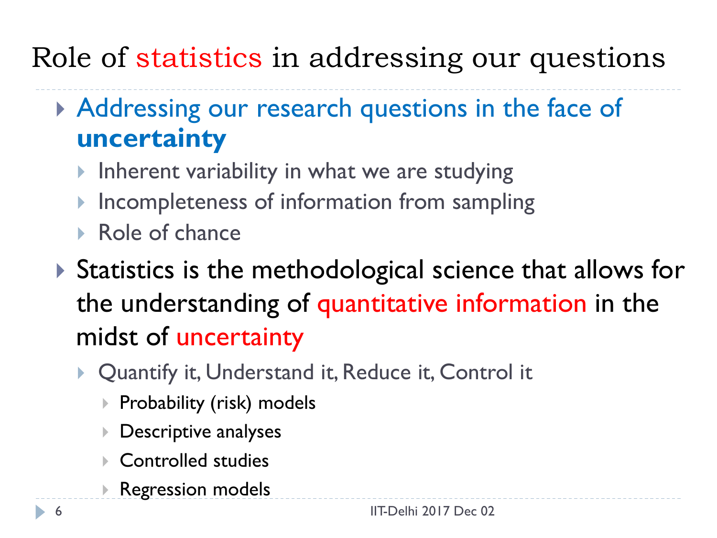#### Role of statistics in addressing our questions

- Addressing our research questions in the face of **uncertainty**
	- Inherent variability in what we are studying
	- Incompleteness of information from sampling
	- Role of chance
- ▶ Statistics is the methodological science that allows for the understanding of quantitative information in the midst of uncertainty
	- ▶ Quantify it, Understand it, Reduce it, Control it
		- ▶ Probability (risk) models
		- Descriptive analyses
		- ▶ Controlled studies
		- Regression models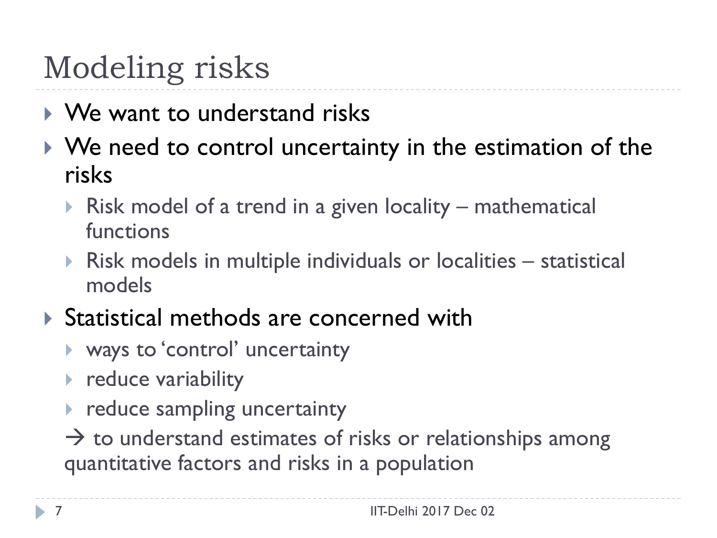## Modeling risks

- ▶ We want to understand risks
- ▶ We need to control uncertainty in the estimation of the risks
	- Risk model of a trend in a given locality mathematical functions
	- Risk models in multiple individuals or localities statistical models
- ▶ Statistical methods are concerned with
	- ways to 'control' uncertainty
	- $\triangleright$  reduce variability
	- **Performal entity** reduce sampling uncertainty

 $\rightarrow$  to understand estimates of risks or relationships among quantitative factors and risks in a population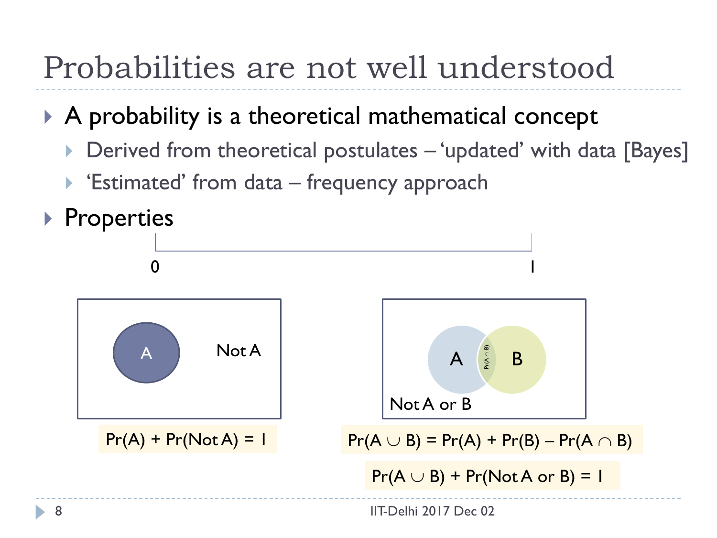## Probabilities are not well understood

#### A probability is a theoretical mathematical concept

- Derived from theoretical postulates 'updated' with data [Bayes]
- $\blacktriangleright$  'Estimated' from data frequency approach

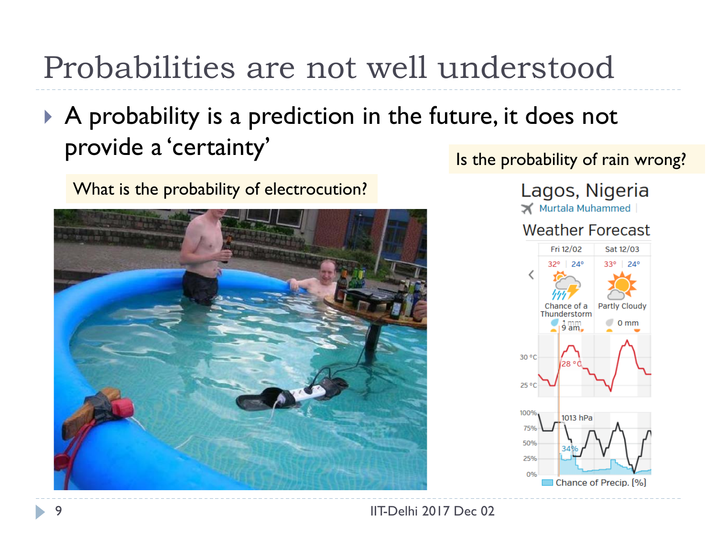## Probabilities are not well understood

 A probability is a prediction in the future, it does not provide a 'certainty'

What is the probability of electrocution?



Is the probability of rain wrong?



<sup>9</sup> IIT-Delhi 2017 Dec 02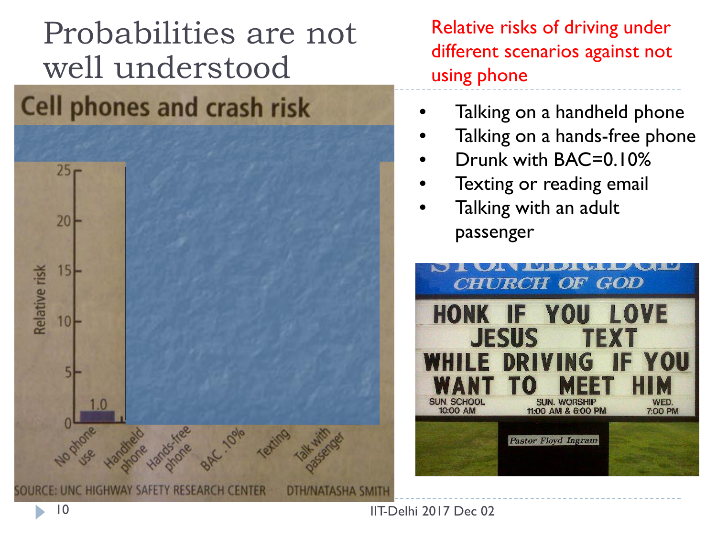# Probabilities are not well understood

#### **Cell phones and crash risk**



Relative risks of driving under different scenarios against not using phone

- Talking on a handheld phone
- Talking on a hands-free phone
- Drunk with BAC=0.10%
- Texting or reading email
- Talking with an adult passenger



IIT-Delhi 2017 Dec 02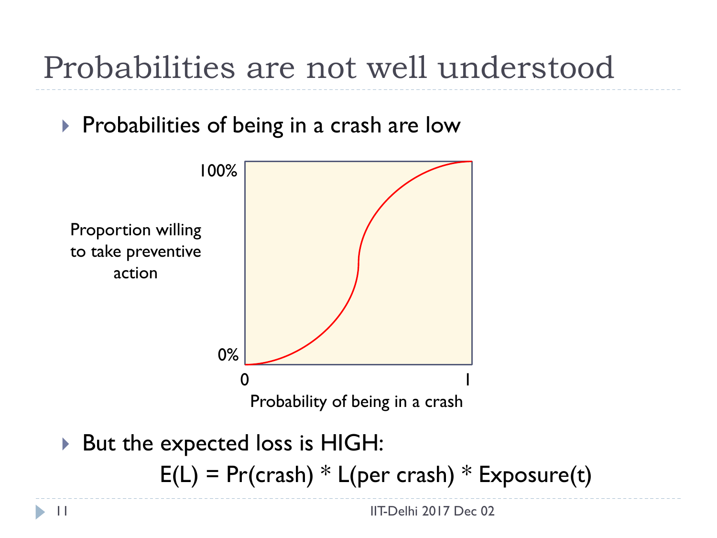## Probabilities are not well understood

#### $\triangleright$  Probabilities of being in a crash are low



 $E(L) = Pr(crash) * L(per crash) * Exposure(t)$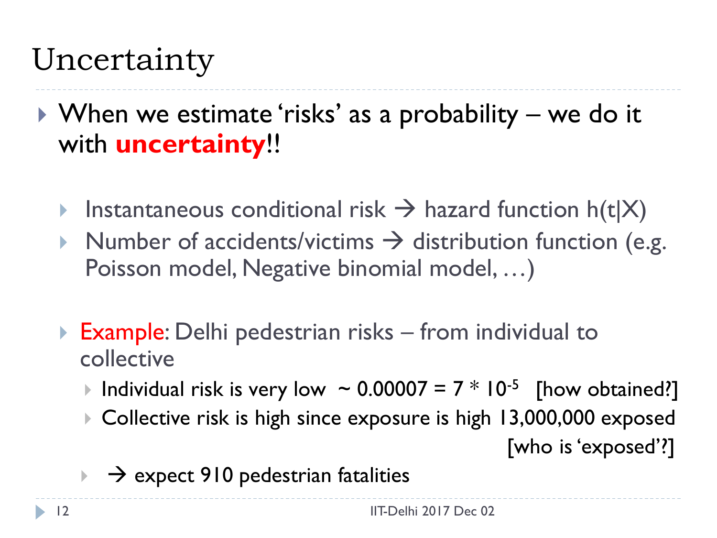## Uncertainty

- ▶ When we estimate 'risks' as a probability we do it with **uncertainty**!!
	- Instantaneous conditional risk  $\rightarrow$  hazard function h(t|X)
	- Number of accidents/victims  $\rightarrow$  distribution function (e.g. Poisson model, Negative binomial model, …)
	- **Example:** Delhi pedestrian risks from individual to collective
		- Individual risk is very low  $\sim 0.00007 = 7 * 10^{-5}$  [how obtained?]
		- ▶ Collective risk is high since exposure is high 13,000,000 exposed

[who is 'exposed'?]

 $\rightarrow$   $\rightarrow$  expect 910 pedestrian fatalities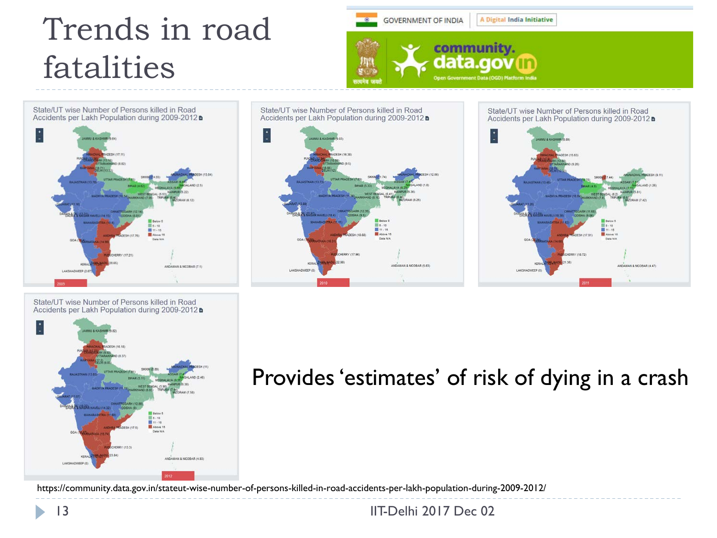#### Trends in road fatalities





State/UT wise Number of Persons killed in Road Accidents per Lakh Population during 2009-2012



#### Provides 'estimates' of risk of dying in a crash

https://community.data.gov.in/stateut-wise-number-of-persons-killed-in-road-accidents-per-lakh-population-during-2009-2012/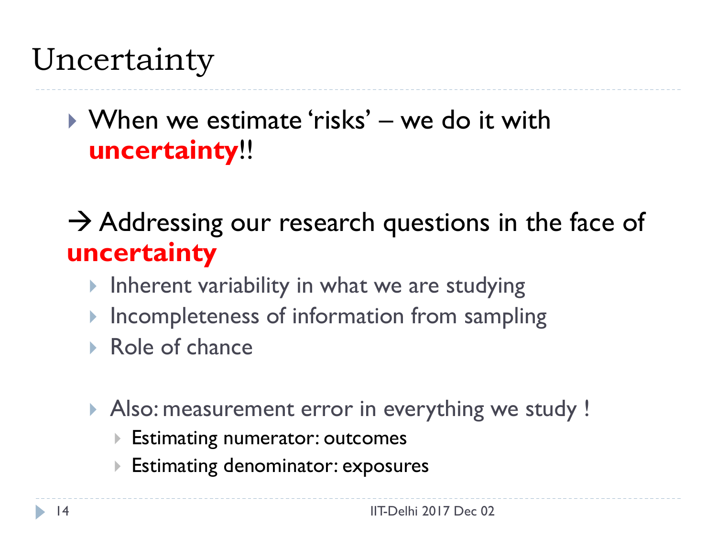#### Uncertainty

#### When we estimate 'risks' – we do it with **uncertainty**!!

 $\rightarrow$  Addressing our research questions in the face of **uncertainty**

- Inherent variability in what we are studying
- $\blacktriangleright$  Incompleteness of information from sampling
- Role of chance
- Also: measurement error in everything we study !
	- Estimating numerator: outcomes
	- Estimating denominator: exposures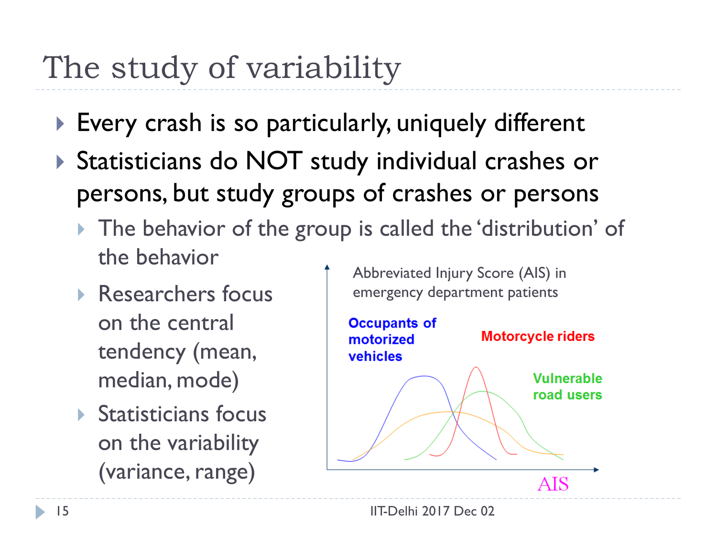## The study of variability

- ▶ Every crash is so particularly, uniquely different
- ▶ Statisticians do NOT study individual crashes or persons, but study groups of crashes or persons
	- ▶ The behavior of the group is called the 'distribution' of the behavior
	- ▶ Researchers focus on the central tendency (mean, median, mode)
	- $\triangleright$  Statisticians focus on the variability (variance, range)

Abbreviated Injury Score (AIS) in emergency department patients

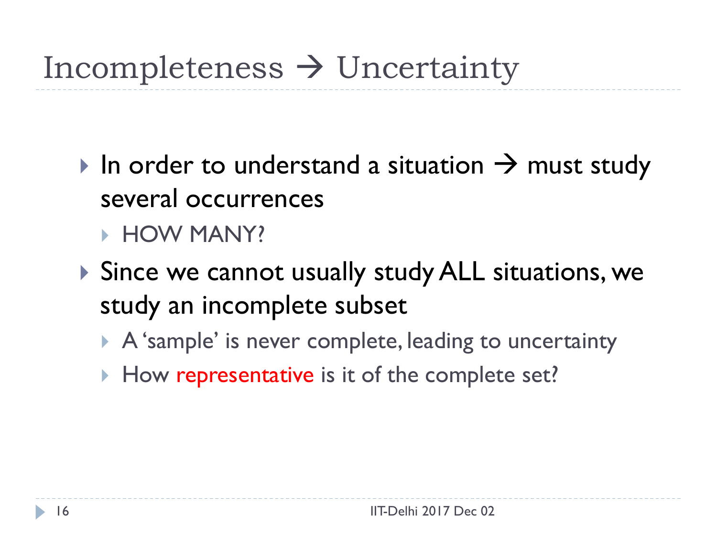## Incompleteness  $\rightarrow$  Uncertainty

- In order to understand a situation  $\rightarrow$  must study several occurrences **HOW MANY?**
- ▶ Since we cannot usually study ALL situations, we study an incomplete subset
	- A 'sample' is never complete, leading to uncertainty
	- How representative is it of the complete set?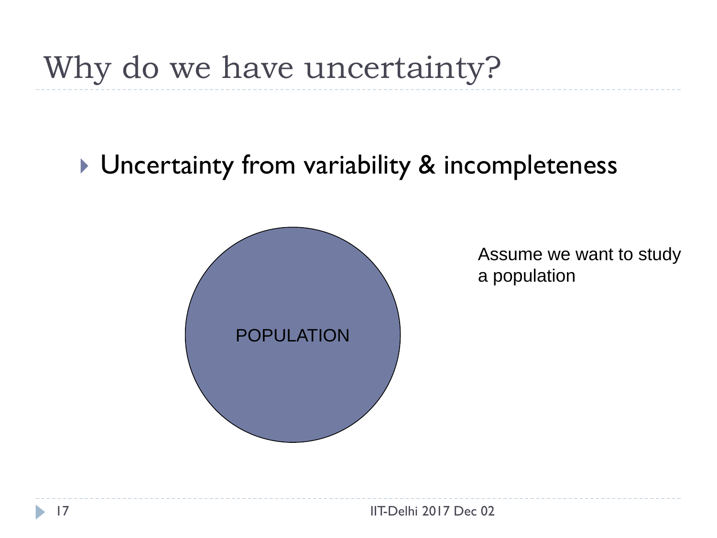#### **Uncertainty from variability & incompleteness**



Assume we want to study a population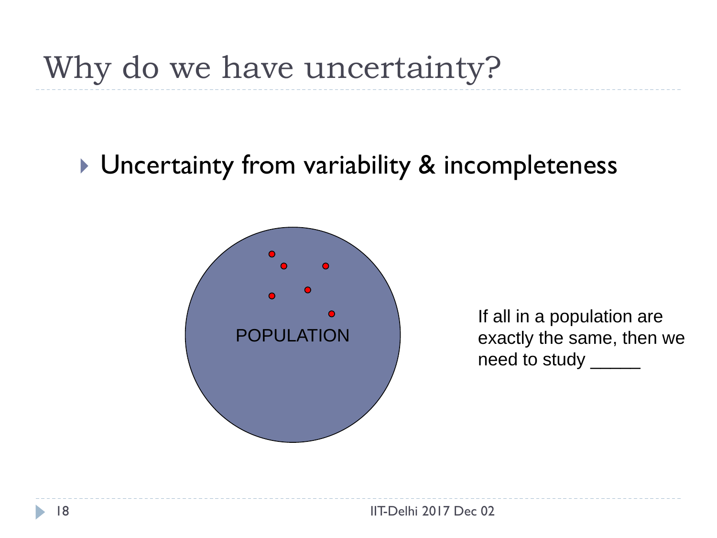#### ▶ Uncertainty from variability & incompleteness



If all in a population are exactly the same, then we need to study \_\_\_\_\_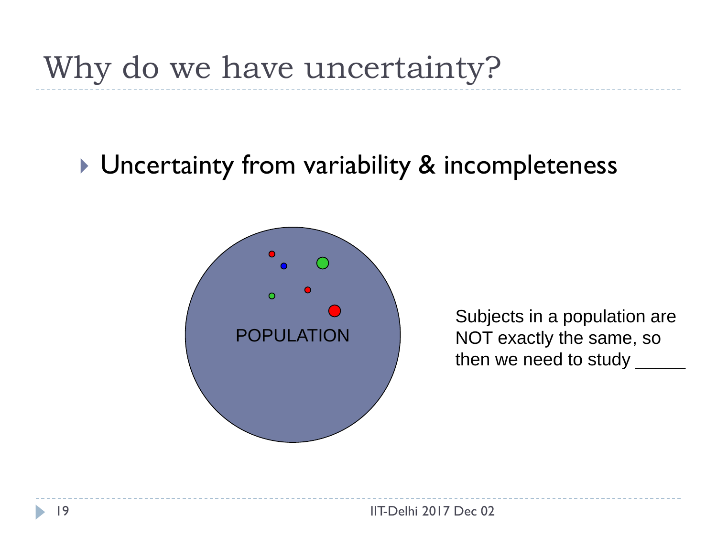#### **Uncertainty from variability & incompleteness**



Subjects in a population are NOT exactly the same, so then we need to study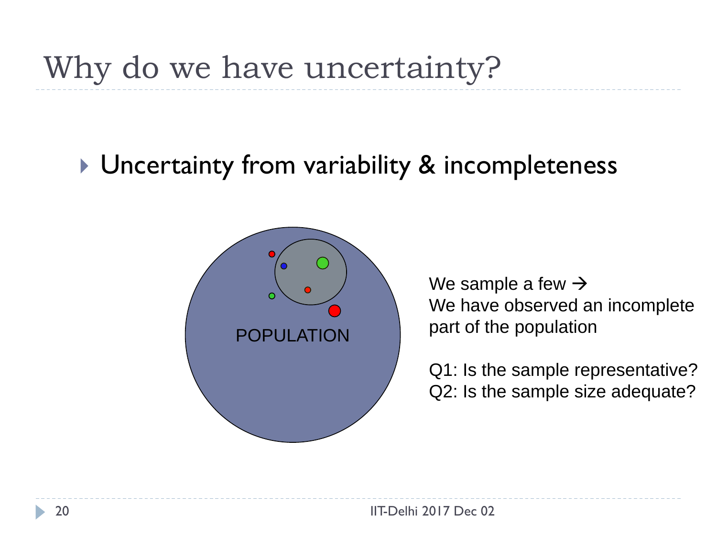#### ▶ Uncertainty from variability & incompleteness



We sample a few  $\rightarrow$ We have observed an incomplete part of the population

Q1: Is the sample representative? Q2: Is the sample size adequate?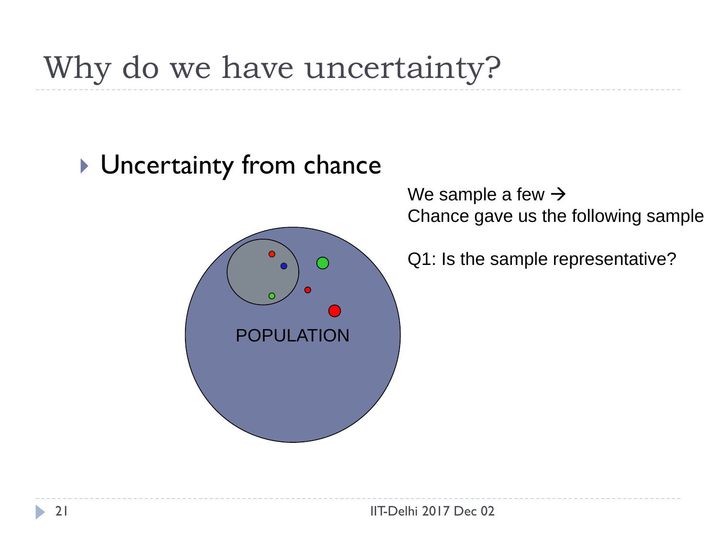#### ▶ Uncertainty from chance



We sample a few  $\rightarrow$ Chance gave us the following sample

Q1: Is the sample representative?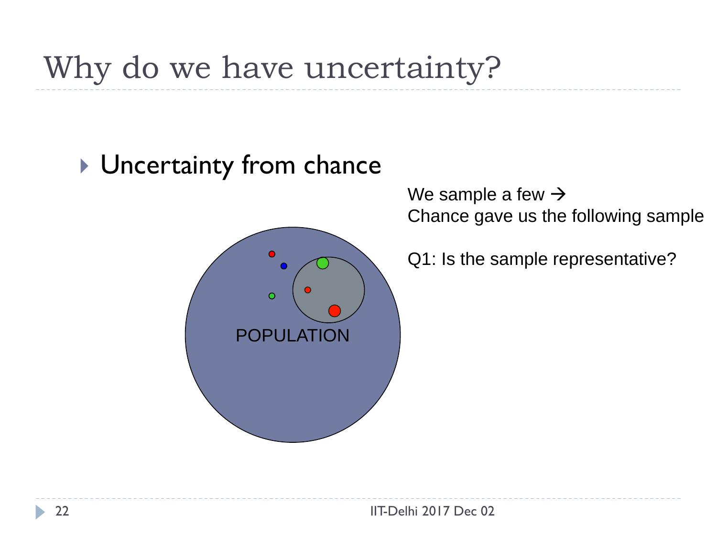#### ▶ Uncertainty from chance



We sample a few  $\rightarrow$ Chance gave us the following sample

Q1: Is the sample representative?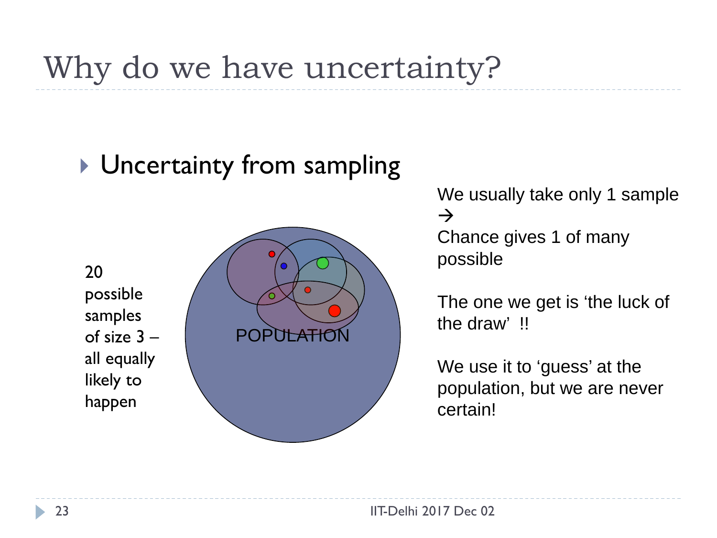#### ▶ Uncertainty from sampling

20 possible samples of size 3 – all equally likely to happen



We usually take only 1 sample  $\rightarrow$ Chance gives 1 of many possible

The one we get is 'the luck of the draw' !!

We use it to 'guess' at the population, but we are never certain!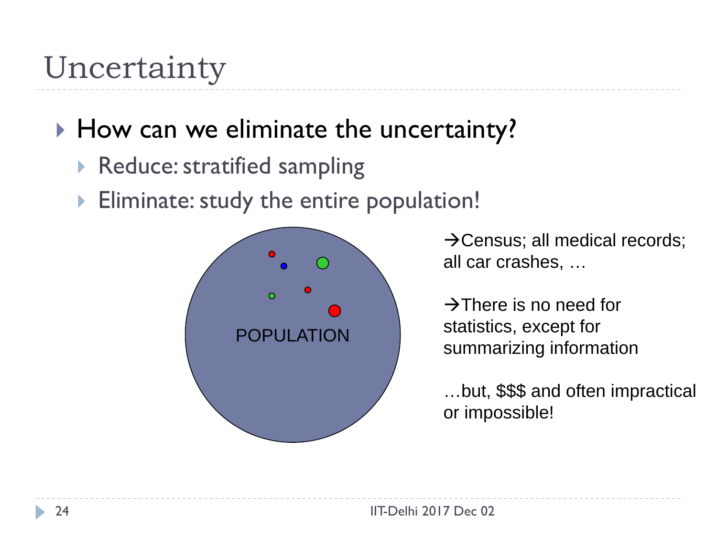#### Uncertainty

#### How can we eliminate the uncertainty?

- ▶ Reduce: stratified sampling
- **Eliminate: study the entire population!**



 $\rightarrow$  Census; all medical records; all car crashes, …

 $\rightarrow$ There is no need for statistics, except for summarizing information

…but, \$\$\$ and often impractical or impossible!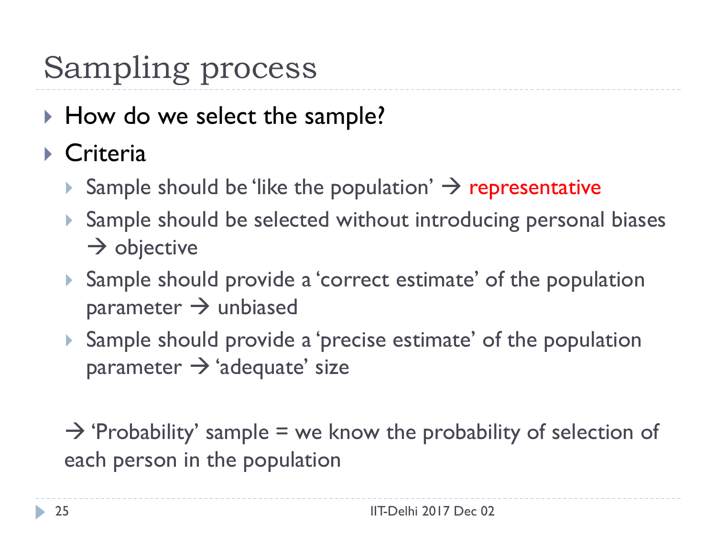# Sampling process

- ▶ How do we select the sample?
- ▶ Criteria
	- Sample should be 'like the population'  $\rightarrow$  representative
	- ▶ Sample should be selected without introducing personal biases  $\rightarrow$  objective
	- Sample should provide a 'correct estimate' of the population parameter  $\rightarrow$  unbiased
	- Sample should provide a 'precise estimate' of the population parameter  $\rightarrow$  'adequate' size

 $\rightarrow$  'Probability' sample = we know the probability of selection of each person in the population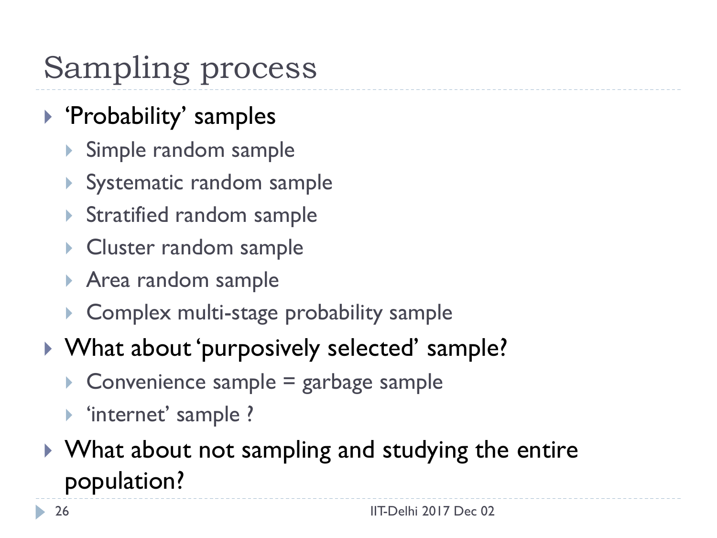# Sampling process

- ▶ 'Probability' samples
	- Simple random sample
	- Systematic random sample
	- ▶ Stratified random sample
	- ▶ Cluster random sample
	- ▶ Area random sample
	- ▶ Complex multi-stage probability sample
- ▶ What about 'purposively selected' sample?
	- $\triangleright$  Convenience sample = garbage sample
	- 'internet' sample ?
- ▶ What about not sampling and studying the entire population?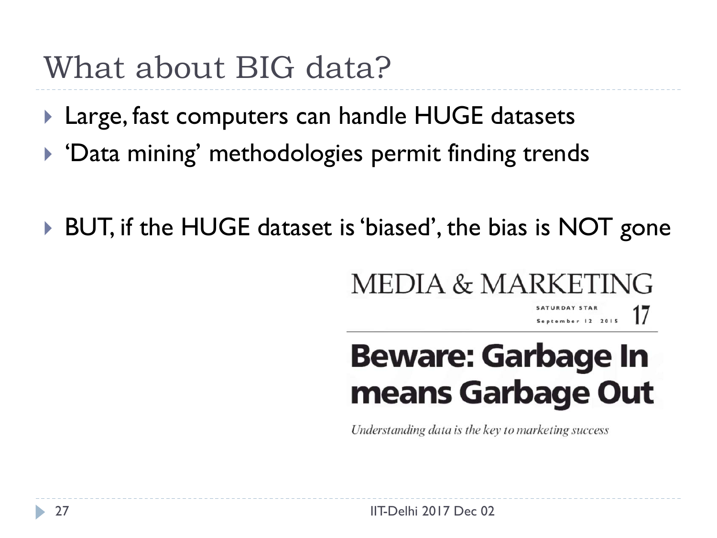#### What about BIG data?

- ▶ Large, fast computers can handle HUGE datasets
- ▶ 'Data mining' methodologies permit finding trends
- BUT, if the HUGE dataset is 'biased', the bias is NOT gone

#### **MEDIA & MARKETII**  $\sqrt{C}$

SATURDAY STAR 17 September 12 2015

# **Beware: Garbage In** means Garbage Out

Understanding data is the key to marketing success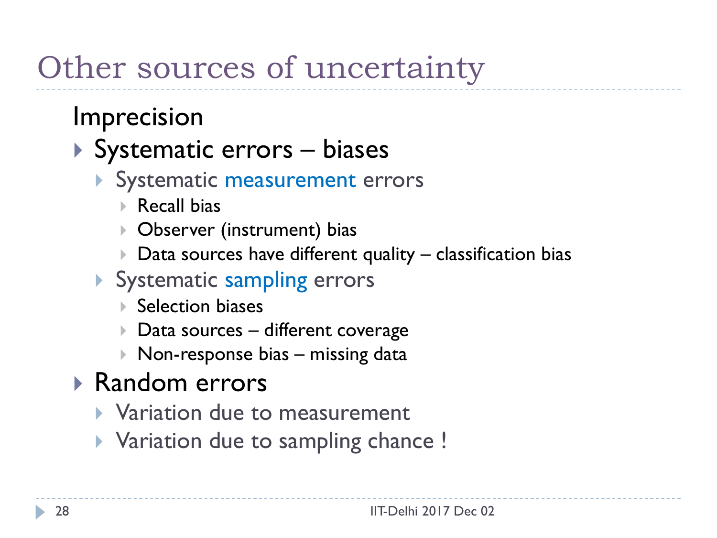## Other sources of uncertainty

#### Imprecision

#### ▶ Systematic errors – biases

- Systematic measurement errors
	- Recall bias
	- Observer (instrument) bias
	- $\triangleright$  Data sources have different quality classification bias
- Systematic sampling errors
	- **▶ Selection biases**
	- ▶ Data sources different coverage
	- $\triangleright$  Non-response bias missing data

#### Random errors

- Variation due to measurement
- ▶ Variation due to sampling chance !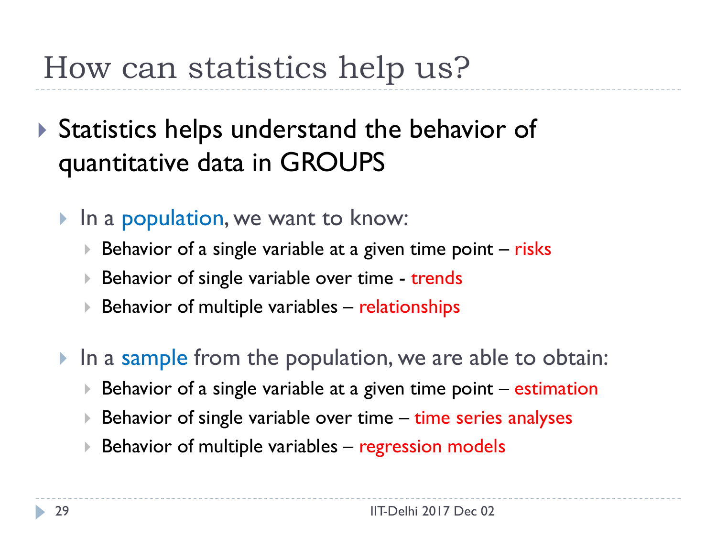## How can statistics help us?

- ▶ Statistics helps understand the behavior of quantitative data in GROUPS
	- In a population, we want to know:
		- Behavior of a single variable at a given time point  $-$  risks
		- Behavior of single variable over time trends
		- $\triangleright$  Behavior of multiple variables relationships
	- In a sample from the population, we are able to obtain:
		- Behavior of a single variable at a given time point estimation
		- Behavior of single variable over time time series analyses
		- $\triangleright$  Behavior of multiple variables regression models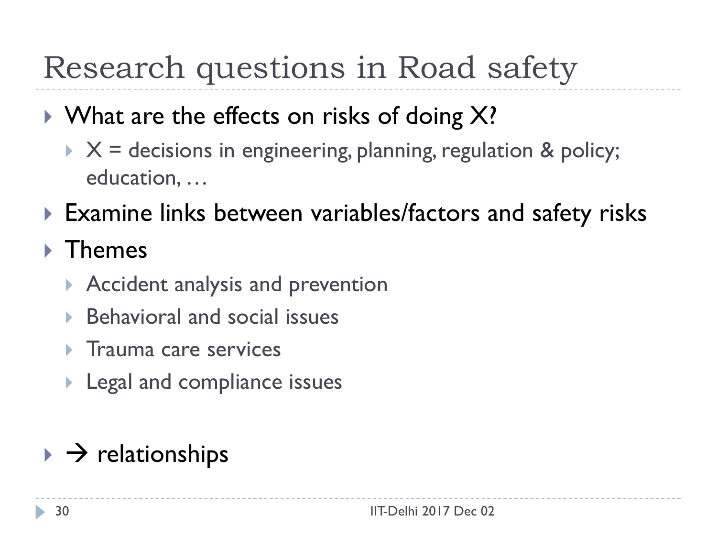## Research questions in Road safety

- $\triangleright$  What are the effects on risks of doing X?
	- $\times$   $\times$  = decisions in engineering, planning, regulation & policy; education, …
- ▶ Examine links between variables/factors and safety risks

#### ▶ Themes

- ▶ Accident analysis and prevention
- Behavioral and social issues
- $\triangleright$  Trauma care services
- **Legal and compliance issues**

#### $\rightarrow$  relationships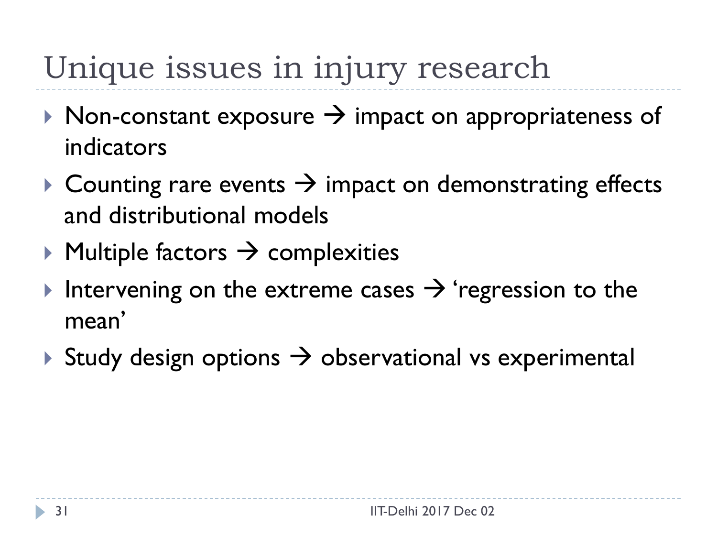# Unique issues in injury research

- $\triangleright$  Non-constant exposure  $\rightarrow$  impact on appropriateness of indicators
- $\triangleright$  Counting rare events  $\rightarrow$  impact on demonstrating effects and distributional models
- $\triangleright$  Multiple factors  $\rightarrow$  complexities
- Intervening on the extreme cases  $\rightarrow$  'regression to the mean'
- Study design options  $\rightarrow$  observational vs experimental